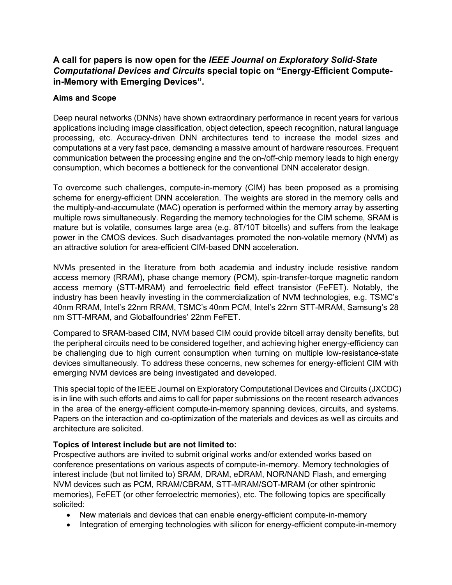# **A call for papers is now open for the** *IEEE Journal on Exploratory Solid-State Computational Devices and Circuits* **special topic on "Energy-Efficient Computein-Memory with Emerging Devices".**

## **Aims and Scope**

Deep neural networks (DNNs) have shown extraordinary performance in recent years for various applications including image classification, object detection, speech recognition, natural language processing, etc. Accuracy-driven DNN architectures tend to increase the model sizes and computations at a very fast pace, demanding a massive amount of hardware resources. Frequent communication between the processing engine and the on-/off-chip memory leads to high energy consumption, which becomes a bottleneck for the conventional DNN accelerator design.

To overcome such challenges, compute-in-memory (CIM) has been proposed as a promising scheme for energy-efficient DNN acceleration. The weights are stored in the memory cells and the multiply-and-accumulate (MAC) operation is performed within the memory array by asserting multiple rows simultaneously. Regarding the memory technologies for the CIM scheme, SRAM is mature but is volatile, consumes large area (e.g. 8T/10T bitcells) and suffers from the leakage power in the CMOS devices. Such disadvantages promoted the non-volatile memory (NVM) as an attractive solution for area-efficient CIM-based DNN acceleration.

NVMs presented in the literature from both academia and industry include resistive random access memory (RRAM), phase change memory (PCM), spin-transfer-torque magnetic random access memory (STT-MRAM) and ferroelectric field effect transistor (FeFET). Notably, the industry has been heavily investing in the commercialization of NVM technologies, e.g. TSMC's 40nm RRAM, Intel's 22nm RRAM, TSMC's 40nm PCM, Intel's 22nm STT-MRAM, Samsung's 28 nm STT-MRAM, and Globalfoundries' 22nm FeFET.

Compared to SRAM-based CIM, NVM based CIM could provide bitcell array density benefits, but the peripheral circuits need to be considered together, and achieving higher energy-efficiency can be challenging due to high current consumption when turning on multiple low-resistance-state devices simultaneously. To address these concerns, new schemes for energy-efficient CIM with emerging NVM devices are being investigated and developed.

This special topic of the IEEE Journal on Exploratory Computational Devices and Circuits (JXCDC) is in line with such efforts and aims to call for paper submissions on the recent research advances in the area of the energy-efficient compute-in-memory spanning devices, circuits, and systems. Papers on the interaction and co-optimization of the materials and devices as well as circuits and architecture are solicited.

## **Topics of Interest include but are not limited to:**

Prospective authors are invited to submit original works and/or extended works based on conference presentations on various aspects of compute-in-memory. Memory technologies of interest include (but not limited to) SRAM, DRAM, eDRAM, NOR/NAND Flash, and emerging NVM devices such as PCM, RRAM/CBRAM, STT-MRAM/SOT-MRAM (or other spintronic memories), FeFET (or other ferroelectric memories), etc. The following topics are specifically solicited:

- New materials and devices that can enable energy-efficient compute-in-memory
- Integration of emerging technologies with silicon for energy-efficient compute-in-memory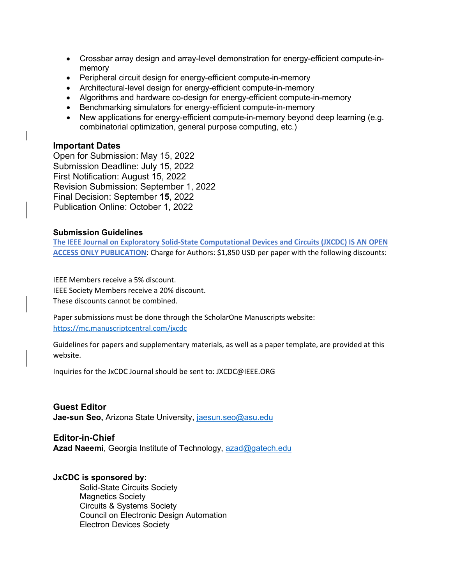- Crossbar array design and array-level demonstration for energy-efficient compute-inmemory
- Peripheral circuit design for energy-efficient compute-in-memory
- Architectural-level design for energy-efficient compute-in-memory
- Algorithms and hardware co-design for energy-efficient compute-in-memory
- Benchmarking simulators for energy-efficient compute-in-memory
- New applications for energy-efficient compute-in-memory beyond deep learning (e.g. combinatorial optimization, general purpose computing, etc.)

#### **Important Dates**

Open for Submission: May 15, 2022 Submission Deadline: July 15, 2022 First Notification: August 15, 2022 Revision Submission: September 1, 2022 Final Decision: September **15**, 2022 Publication Online: October 1, 2022

#### **Submission Guidelines**

**The IEEE Journal on Exploratory Solid-State Computational Devices and Circuits (JXCDC) IS AN OPEN ACCESS ONLY PUBLICATION**: Charge for Authors: \$1,850 USD per paper with the following discounts:

IEEE Members receive a 5% discount. IEEE Society Members receive a 20% discount. These discounts cannot be combined.

Paper submissions must be done through the ScholarOne Manuscripts website: <https://mc.manuscriptcentral.com/jxcdc>

Guidelines for papers and supplementary materials, as well as a paper template, are provided at this website.

Inquiries for the JxCDC Journal should be sent to: JXCDC@IEEE.ORG

### **Guest Editor**

**Jae-sun Seo,** Arizona State University, [jaesun.seo@asu.edu](mailto:jaesun.seo@asu.edu)

#### **Editor-in-Chief**

**Azad Naeemi**, Georgia Institute of Technology, [azad@gatech.edu](mailto:azad@gatech.edu)

#### **JxCDC is sponsored by:**

Solid-State Circuits Society Magnetics Society Circuits & Systems Society Council on Electronic Design Automation Electron Devices Society